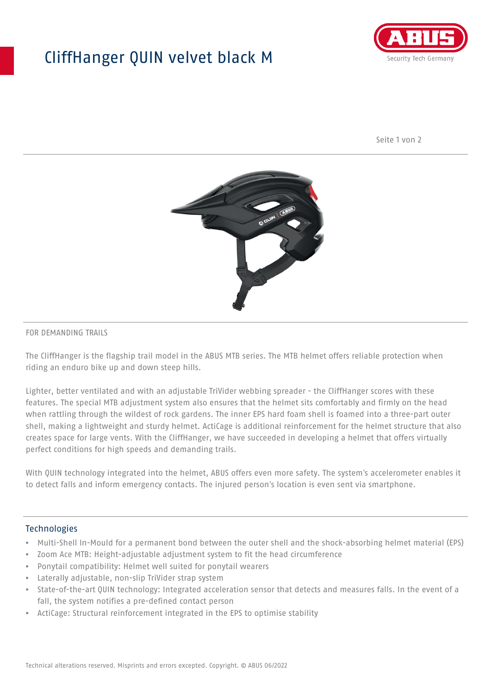## CliffHanger QUIN velvet black M



Seite 1 von 2



#### FOR DEMANDING TRAILS

The CliffHanger is the flagship trail model in the ABUS MTB series. The MTB helmet offers reliable protection when riding an enduro bike up and down steep hills.

Lighter, better ventilated and with an adjustable TriVider webbing spreader - the CliffHanger scores with these features. The special MTB adjustment system also ensures that the helmet sits comfortably and firmly on the head when rattling through the wildest of rock gardens. The inner EPS hard foam shell is foamed into a three-part outer shell, making a lightweight and sturdy helmet. ActiCage is additional reinforcement for the helmet structure that also creates space for large vents. With the CliffHanger, we have succeeded in developing a helmet that offers virtually perfect conditions for high speeds and demanding trails.

With QUIN technology integrated into the helmet, ABUS offers even more safety. The system's accelerometer enables it to detect falls and inform emergency contacts. The injured person's location is even sent via smartphone.

#### **Technologies**

- Multi-Shell In-Mould for a permanent bond between the outer shell and the shock-absorbing helmet material (EPS)
- Zoom Ace MTB: Height-adjustable adjustment system to fit the head circumference
- Ponytail compatibility: Helmet well suited for ponytail wearers
- Laterally adjustable, non-slip TriVider strap system
- State-of-the-art QUIN technology: Integrated acceleration sensor that detects and measures falls. In the event of a fall, the system notifies a pre-defined contact person
- ActiCage: Structural reinforcement integrated in the EPS to optimise stability